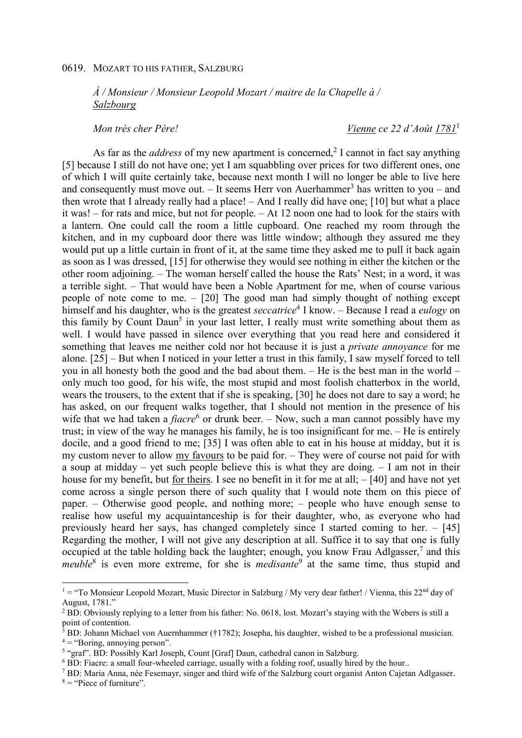## 0619. MOZART TO HIS FATHER, SALZBURG

*À / Monsieur / Monsieur Leopold Mozart / maitre de la Chapelle à / Salzbourg* 

*Mon trés cher Pére! Vienne ce 22 d'Août 1781* 1

As far as the *address* of my new apartment is concerned,<sup>2</sup> I cannot in fact say anything [5] because I still do not have one; yet I am squabbling over prices for two different ones, one of which I will quite certainly take, because next month I will no longer be able to live here and consequently must move out. – It seems Herr von Auerhammer<sup>3</sup> has written to you – and then wrote that I already really had a place! – And I really did have one; [10] but what a place it was! – for rats and mice, but not for people. – At 12 noon one had to look for the stairs with a lantern. One could call the room a little cupboard. One reached my room through the kitchen, and in my cupboard door there was little window; although they assured me they would put up a little curtain in front of it, at the same time they asked me to pull it back again as soon as I was dressed, [15] for otherwise they would see nothing in either the kitchen or the other room adjoining. – The woman herself called the house the Rats' Nest; in a word, it was a terrible sight. – That would have been a Noble Apartment for me, when of course various people of note come to me. – [20] The good man had simply thought of nothing except himself and his daughter, who is the greatest *seccatrice*<sup>4</sup> I know. – Because I read a *eulogy* on this family by Count Daun<sup>5</sup> in your last letter, I really must write something about them as well. I would have passed in silence over everything that you read here and considered it something that leaves me neither cold nor hot because it is just a *private annoyance* for me alone. [25] – But when I noticed in your letter a trust in this family, I saw myself forced to tell you in all honesty both the good and the bad about them. – He is the best man in the world – only much too good, for his wife, the most stupid and most foolish chatterbox in the world, wears the trousers, to the extent that if she is speaking, [30] he does not dare to say a word; he has asked, on our frequent walks together, that I should not mention in the presence of his wife that we had taken a *fiacre*<sup>6</sup> or drunk beer. – Now, such a man cannot possibly have my trust; in view of the way he manages his family, he is too insignificant for me. – He is entirely docile, and a good friend to me; [35] I was often able to eat in his house at midday, but it is my custom never to allow my favours to be paid for. – They were of course not paid for with a soup at midday – yet such people believe this is what they are doing. – I am not in their house for my benefit, but for theirs. I see no benefit in it for me at all; – [40] and have not yet come across a single person there of such quality that I would note them on this piece of paper. – Otherwise good people, and nothing more; – people who have enough sense to realise how useful my acquaintanceship is for their daughter, who, as everyone who had previously heard her says, has changed completely since I started coming to her. – [45] Regarding the mother, I will not give any description at all. Suffice it to say that one is fully occupied at the table holding back the laughter; enough, you know Frau Adlgasser, $7$  and this *meuble*<sup>8</sup> is even more extreme, for she is *medisante*<sup>9</sup> at the same time, thus stupid and

 $\overline{a}$ 

 $1 =$  "To Monsieur Leopold Mozart, Music Director in Salzburg / My very dear father! / Vienna, this 22<sup>nd</sup> day of August, 1781."

<sup>&</sup>lt;sup>2</sup> BD: Obviously replying to a letter from his father: No. 0618, lost. Mozart's staying with the Webers is still a point of contention.

<sup>&</sup>lt;sup>3</sup> BD: Johann Michael von Auernhammer (†1782); Josepha, his daughter, wished to be a professional musician.  $4 =$  "Boring, annoying person".

<sup>&</sup>lt;sup>5</sup> "graf". BD: Possibly Karl Joseph, Count [Graf] Daun, cathedral canon in Salzburg.

<sup>&</sup>lt;sup>6</sup> BD: Fiacre: a small four-wheeled carriage, usually with a folding roof, usually hired by the hour..

<sup>&</sup>lt;sup>7</sup> BD: Maria Anna, née Fesemayr, singer and third wife of the Salzburg court organist Anton Cajetan Adlgasser.  $8 =$  "Piece of furniture".